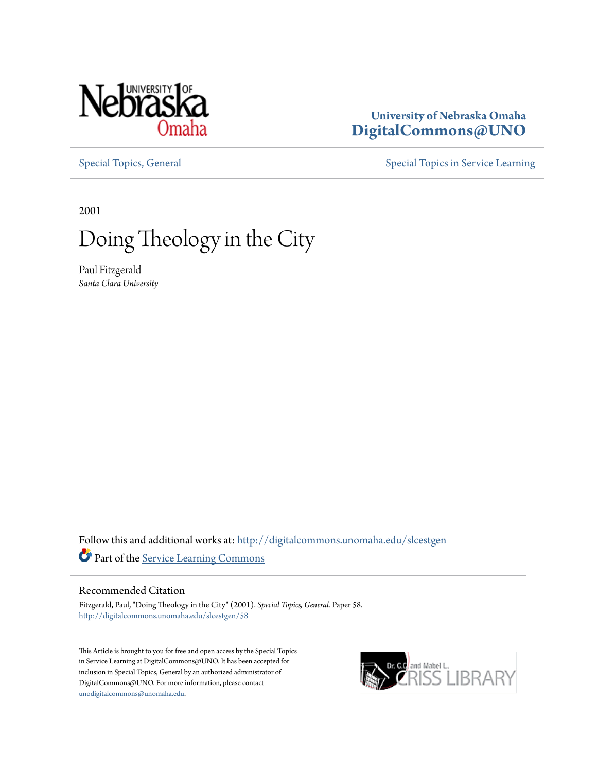

### **University of Nebraska Omaha [DigitalCommons@UNO](http://digitalcommons.unomaha.edu?utm_source=digitalcommons.unomaha.edu%2Fslcestgen%2F58&utm_medium=PDF&utm_campaign=PDFCoverPages)**

[Special Topics, General](http://digitalcommons.unomaha.edu/slcestgen?utm_source=digitalcommons.unomaha.edu%2Fslcestgen%2F58&utm_medium=PDF&utm_campaign=PDFCoverPages) [Special Topics in Service Learning](http://digitalcommons.unomaha.edu/slcespecialtopics?utm_source=digitalcommons.unomaha.edu%2Fslcestgen%2F58&utm_medium=PDF&utm_campaign=PDFCoverPages)

2001

# Doing Theology in the City

Paul Fitzgerald *Santa Clara University*

Follow this and additional works at: [http://digitalcommons.unomaha.edu/slcestgen](http://digitalcommons.unomaha.edu/slcestgen?utm_source=digitalcommons.unomaha.edu%2Fslcestgen%2F58&utm_medium=PDF&utm_campaign=PDFCoverPages) Part of the [Service Learning Commons](http://network.bepress.com/hgg/discipline/1024?utm_source=digitalcommons.unomaha.edu%2Fslcestgen%2F58&utm_medium=PDF&utm_campaign=PDFCoverPages)

#### Recommended Citation

Fitzgerald, Paul, "Doing Theology in the City" (2001). *Special Topics, General.* Paper 58. [http://digitalcommons.unomaha.edu/slcestgen/58](http://digitalcommons.unomaha.edu/slcestgen/58?utm_source=digitalcommons.unomaha.edu%2Fslcestgen%2F58&utm_medium=PDF&utm_campaign=PDFCoverPages)

This Article is brought to you for free and open access by the Special Topics in Service Learning at DigitalCommons@UNO. It has been accepted for inclusion in Special Topics, General by an authorized administrator of DigitalCommons@UNO. For more information, please contact [unodigitalcommons@unomaha.edu](mailto:unodigitalcommons@unomaha.edu).

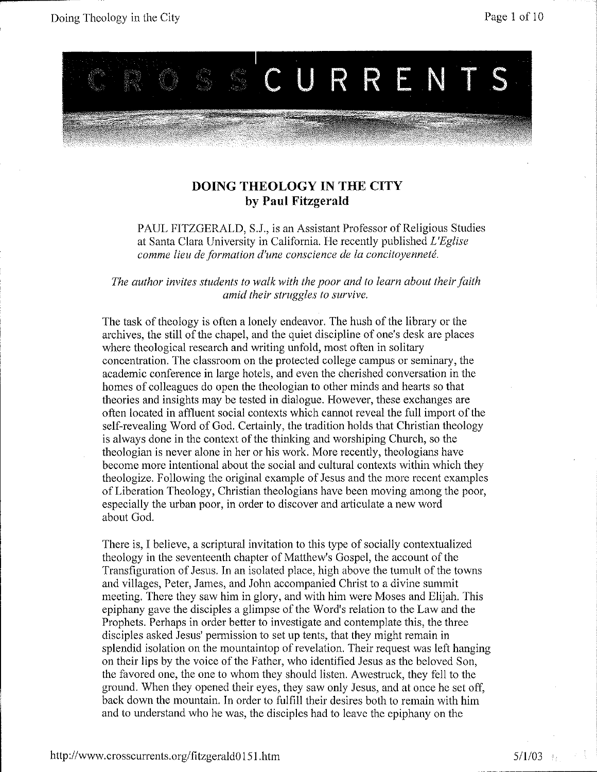

#### **DOING THEOLOGY IN THE CITY by Paul Fitzgerald**

PAUL FITZGERALD, S.J., is an Assistant Professor of Religious Studies at Santa Clara University in California. He recently published *L'Eglise comme lieu de formation d'une conscience de Ia concitoyennete.* 

*The author invites students to walk with the poor and to learn about their faith amid their struggles to survive.* 

The task of theology is often a lonely endeavor. The hush of the library or the archives, the still of the chapel, and the quiet discipline of one's desk are places where theological research and writing unfold, most often in solitary concentration. The classroom on the protected college campus or seminary, the academic conference in large hotels, and even the cherished conversation in the homes of colleagues do open the theologian to other minds and hearts so that theories and insights may be tested in dialogue. However, these exchanges are often located in affluent social contexts which cannot reveal the full import of the self-revealing Word of God. Certainly, the tradition holds that Christian theology is always done in the context of the thinking and worshiping Church, so the theologian is never alone in her or his work. More recently, theologians have become more intentional about the social and cultural contexts within which they theologize. Following the original example of Jesus and the more recent examples of Liberation Theology, Christian theologians have been moving among the poor, especially the nrban poor, in order to discover and articulate a new word about God.

There is, I believe, a scriptural invitation to this type of socially contextualized theology in the seventeenth chapter of Matthew's Gospel, the account of the Transfiguration of Jesus. In an isolated place, high above the tumult of the towns and villages, Peter, James, and John accompanied Christ to a divine summit meeting. There they saw him in glory, and with him were Moses and Elijah. This epiphany gave the disciples a glimpse of the Word's relation to the Law and the Prophets. Perhaps in order better to investigate and contemplate this, the three disciples asked Jesus' permission to set up tents, that they might remain in splendid isolation on the mountaintop of revelation. Their request was left hanging on their lips by the voice of the Father, who identified Jesus as the beloved Son, the favored one, the one to whom they should listen. A we struck, they fell to the ground. When they opened their eyes, they saw only Jesus, and at once he set off, back down the mountain. In order to fulfill their desires both to remain with him and to understand who he was, the disciples had to leave the epiphany on the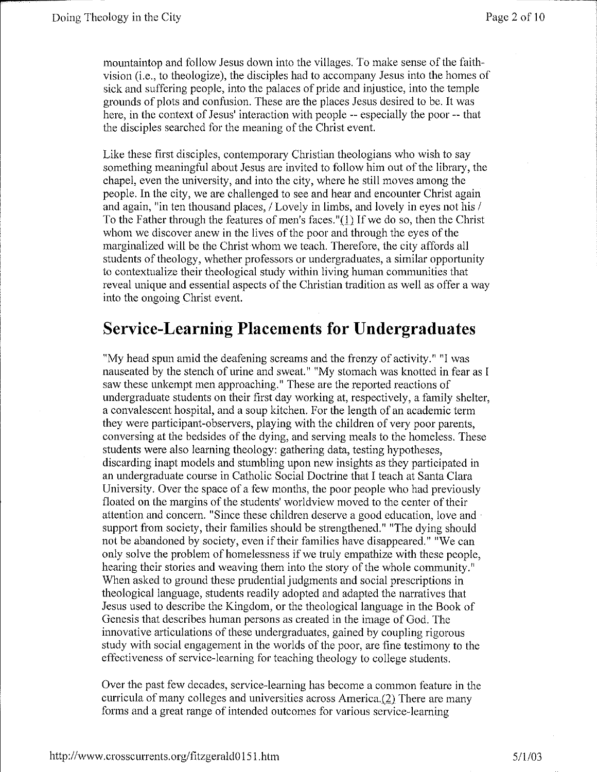mountaintop and follow Jesus down into the villages. To make sense of the faithvision (i.e., to theologize), the disciples had to accompany Jesus into the homes of sick and suffering people, into the palaces of pride and injustice, into the temple grounds of plots and confusion. These are the places Jesus desired to be. It was here, in the context of Jesus' interaction with people -- especially the poor -- that the disciples searched for the meaning of the Christ event.

Like these first disciples, contemporary Christian theologians who wish to say something meaningful about Jesus are invited to follow him out of the library, the chapel, even the university, and into the city, where he still moves among the people. In the city, we are challenged to see and hear and encounter Christ again and again, "in ten thousand places, / Lovely in limbs, and lovely in eyes not his / To the Father through the features of men's faces."(l) If we do so, then the Christ whom we discover anew in the lives of the poor and through the eyes of the marginalized will be the Christ whom we teach. Therefore, the city affords all students of theology, whether professors or undergraduates, a similar opportunity to contextualize their theological study within living human communities that reveal unique and essential aspects of the Christian tradition as well as offer a way into the ongoing Christ event.

## **Service-Learning Placements for Undergraduates**

"My head spun amid the deafening screams and the frenzy of activity.""! was nauseated by the stench of urine and sweat." "My stomach was knotted in fear as I saw these unkempt men approaching." These are the reported reactions of undergraduate students on their first day working at, respectively, a family shelter, a convalescent hospital, and a soup kitchen. For the length of an academic term they were participant-observers, playing with the children of very poor parents, conversing at the bedsides of the dying, and serving meals to the homeless. These students were also learning theology: gathering data, testing hypotheses, discarding inapt models and stumbling upon new insights as they participated in an undergraduate course in Catholic Social Doctrine that I teach at Santa Clara University. Over the space of a few months, the poor people who had previously floated on the margins of the students' worldview moved to the center of their attention and concern. "Since these children deserve a good education, love and support from society, their families should be strengthened." "The dying should not be abandoned by society, even if their families have disappeared." "We can only solve the problem of homelessness if we truly empathize with these people, hearing their stories and weaving them into the story of the whole community." When asked to ground these prudential judgments and social prescriptions in theological language, students readily adopted and adapted the narratives that Jesus used to describe the Kingdom, or the theological language in the Book of Genesis that describes human persons as created in the image of God. The innovative articulations of these undergraduates, gained by coupling rigorous study with social engagement in the worlds of the poor, are fine testimony to the effectiveness of service-learning for teaching theology to college students.

Over the past few decades, service-learning has become a common feature in the curricula of many colleges and universities across America.(2) There are many forms and a great range of intended outcomes for various service-learning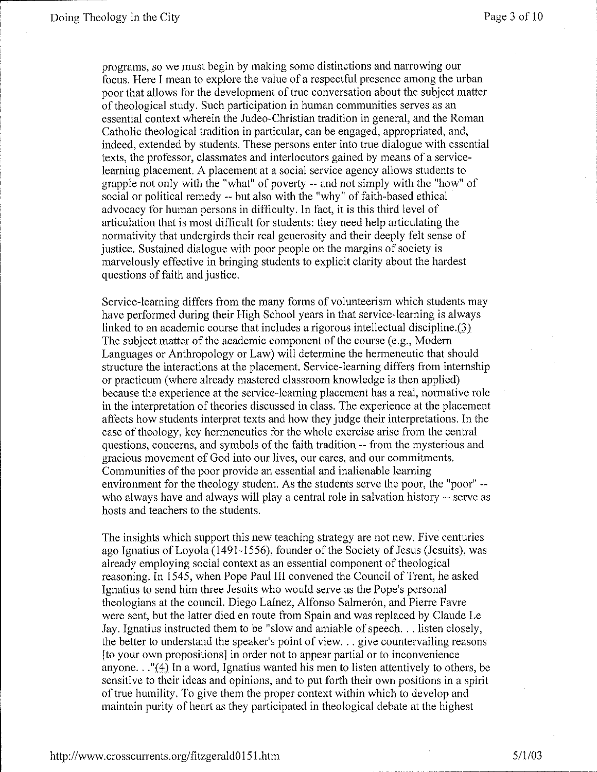programs, so we must begin by making some distinctions and narrowing our focus. Here I mean to explore the value of a respectful presence among the urban poor that allows for the development of true conversation about the subject matter of theological study. Such participation in human communities serves as an essential context wherein the Judeo-Christian tradition in general, and the Roman Catholic theological tradition in particular, can be engaged, appropriated, and, indeed, extended by students. These persons enter into true dialogue with essential texts, the professor, classmates and interlocutors gained by means of a servicelearning placement. A placement at a social service agency allows students to grapple not only with the "what" of poverty -- and not simply with the "how" of social or political remedy-- but also with the "why" of faith-based ethical advocacy for human persons in difficulty. In fact, it is this third level of articulation that is most difficult for students: they need help articulating the normativity that undergirds their real generosity and their deeply felt sense of justice. Sustained dialogue with poor people on the margins of society is marvelously effective in bringing students to explicit clarity about the hardest questions of faith and justice.

Service-learning differs from the many forms of volunteerism which students may have performed during their High School years in that service-learning is always linked to an academic course that includes a rigorous intellectual discipline.(3) The subject matter of the academic component of the course (e.g., Modern Languages or Anthropology or Law) will determine the hermeneutic that should structure the interactions at the placement. Service-learning differs from internship or practicum (where already mastered classroom knowledge is then applied) because the experience at the service-learning placement has a real, normative role in the interpretation of theories discussed in class. The experience at the placement affects how students interpret texts and how they judge their interpretations. In the case of theology, key hermeneutics for the whole exercise arise from the central questions, concerns, and symbols of the faith tradition -- from the mysterious and gracious movement of God into our lives, our cares, and our commitments. Communities of the poor provide an essential and inalienable learning environment for the theology student. As the students serve the poor, the "poor" - who always have and always will play a central role in salvation history -- serve as hosts and teachers to the students.

The insights which support this new teaching strategy are not new. Five centuries ago Ignatius of Loyola (1491-1556), founder of the Society of Jesus (Jesuits), was already employing social context as an essential component of theological reasoning. In 1545, when Pope Paul III convened the Council of Trent, he asked Ignatius to send him three Jesuits who would serve as the Pope's personal theologians at the council. Diego Lainez, Alfonso Salmerón, and Pierre Favre were sent, but the latter died en route from Spain and was replaced by Claude Le Jay. Ignatius instructed them to be "slow and amiable of speech ... listen closely, the better to understand the speaker's point of view.  $\ldots$  give countervailing reasons [to your own propositions] in order not to appear partial or to inconvenience anyone ... "(4) In a word, Ignatius wanted his men to listen attentively to others, be sensitive to their ideas and opinions, and to put forth their own positions in a spirit of true humility. To give them the proper context within which to develop and maintain purity of heart as they participated in theological debate at the highest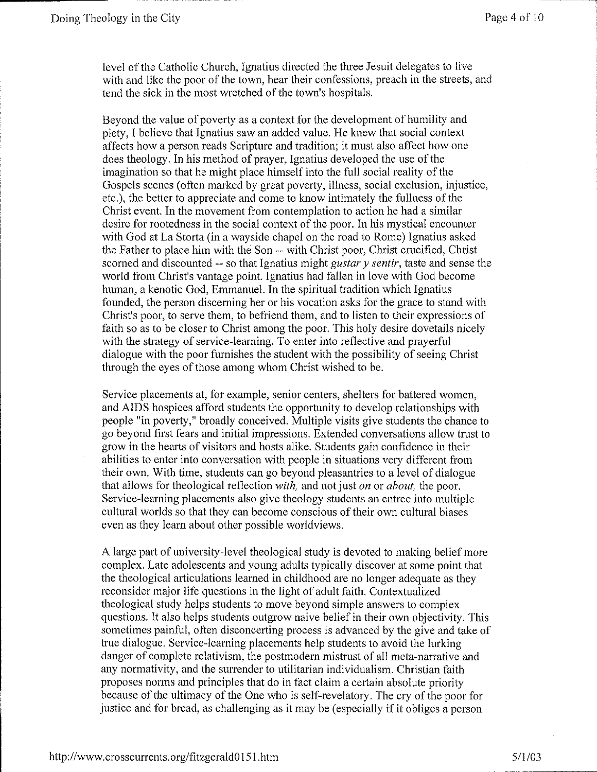level of the Catholic Church, Ignatius directed the three Jesuit delegates to live with and like the poor of the town, hear their confessions, preach in the streets, and tend the sick in the most wretched of the town's hospitals.

Beyond the value of poverty as a context for the development of humility and piety, I believe that Ignatius saw an added value. He knew that social context affects how a person reads Scripture and tradition; it must also affect how one does theology. **In** his method of prayer, Ignatius developed the use of the imagination so that he might place himself into the full social reality of the Gospels scenes (often marked by great poverty, illness, social exclusion, injustice, etc.), the better to appreciate and come to know intimately the fullness of the Christ event. In the movement from contemplation to action he had a similar desire for rootedness in the social context of the poor. In his mystical encounter with God at La Storta (in a wayside chapel on the road to Rome) Ignatius asked the Father to place him with the Son -- with Christ poor, Christ crucified, Christ scorned and discounted -- so that Ignatius might *gustar* y *sentir,* taste and sense the world from Christ's vantage point. Ignatius had fallen in love with God become human, a kenotic God, Emmanuel. **In** the spiritual tradition which Ignatius founded, the person discerning her or his vocation asks for the grace to stand with Christ's poor, to serve them, to befriend them, and to listen to their expressions of faith so as to be closer to Christ among the poor. This holy desire dovetails nicely with the strategy of service-learning. To enter into reflective and prayerful dialogue with the poor furnishes the student with the possibility of seeing Christ through the eyes of those among whom Christ wished to be.

Service placements at, for example, senior centers, shelters for battered women, and AIDS hospices afford students the opportunity to develop relationships with people "in poverty," broadly conceived. Multiple visits give students the chance to go beyond first fears and initial impressions. Extended conversations allow trust to grow in the hearts of visitors and hosts alike. Students gain confidence in their abilities to enter into conversation with people in situations very different from their own. With time, students can go beyond pleasantries to a level of dialogue that allows for theological reflection *with,* and not just *on* or *about,* the poor. Service-learning placements also give theology students an entree into multiple cultural worlds so that they can become conscious of their own cultural biases even as they learn about other possible worldviews.

A large part of university-level theological study is devoted to making belief more complex. Late adolescents and young adults typically discover at some point that the theological articulations learned in childhood are no longer adequate as they reconsider major life questions in the light of adult faith. Contextualized theological study helps students to move beyond simple answers to complex questions. It also helps students outgrow naive belief in their own objectivity. This sometimes painful, often disconcerting process is advanced by the give and take of true dialogue. Service-learning placements help students to avoid the lurking danger of complete relativism, the postmodern mistrust of all meta-narrative and any normativity, and the surrender to utilitarian individualism. Christian faith proposes norms and principles that do in fact claim a certain absolute priority because of the ultimacy of the One who is self-revelatory. The cry of the poor for justice and for bread, as challenging as it may be (especially if it obliges a person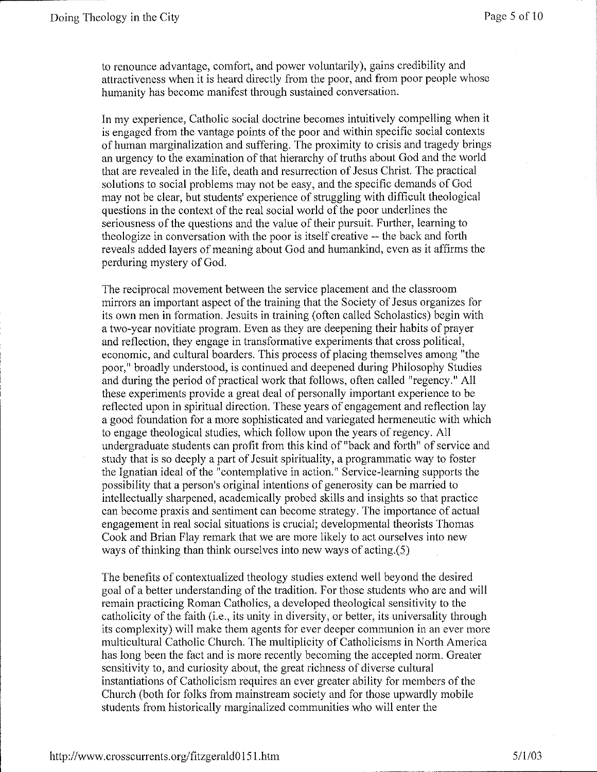to renounce advantage, comfort, and power voluntarily), gains credibility and attractiveness when it is heard directly from the poor, and from poor people whose humanity has become manifest through sustained conversation.

In my experience, Catholic social doctrine becomes intuitively compelling when it is engaged from the vantage points of the poor and within specific social contexts of human marginalization and suffering. The proximity to crisis and tragedy brings an urgency to the examination of that hierarchy of truths about God and the world that are revealed in the life, death and resurrection of Jesus Christ. The practical solutions to social problems may not be easy, and the specific demands of God may not be clear, but students' experience of struggling with difficult theological questions in the context of the real social world of the poor underlines the seriousness of the questions and the value of their pursuit. Further, learning to theologize in conversation with the poor is itself creative -- the back and forth reveals added layers of meaning about God and humankind, even as it affirms the perduring mystery of God.

The reciprocal movement between the service placement and the classroom mirrors an important aspect of the training that the Society of Jesus organizes for its own men in formation. Jesuits in training (often called Scholastics) begin with a two-year novitiate program. Even as they are deepening their habits of prayer and reflection, they engage in transformative experiments that cross political, economic, and cultural boarders. This process of placing themselves among "the poor," broadly understood, is continued and deepened during Philosophy Studies and during the period of practical work that follows, often called "regency." All these experiments provide a great deal of personally important experience to be reflected upon in spiritual direction. These years of engagement and reflection lay a good foundation for a more sophisticated and variegated hermeneutic with which to engage theological studies, which follow upon the years of regency. All undergraduate students can profit from this kind of "back and forth" of service and study that is so deeply a part of Jesuit spirituality, a programmatic way to foster the lgnatian ideal of the "contemplative in action." Service-learning supports the possibility that a person's original intentions of generosity can be married to intellectually sharpened, academically probed skills and insights so that practice can become praxis and sentiment can become strategy. The importance of actual engagement in real social situations is crucial; developmental theorists Thomas Cook and Brian Flay remark that we are more likely to act ourselves into new ways of thinking than think ourselves into new ways of acting.(S)

The benefits of contextualized theology studies extend well beyond the desired goal of a better understanding of the tradition. For those students who are and will remain practicing Roman Catholics, a developed theological sensitivity to the catholicity of the faith (i.e., its unity in diversity, or better, its universality through its complexity) will make them agents for ever deeper communion in an ever more multicultural Catholic Church. The multiplicity of Catholicisms in North America has long been the fact and is more recently becoming the accepted norm. Greater sensitivity to, and curiosity about, the great richness of diverse cultural instantiations of Catholicism requires an ever greater ability for members of the Church (both for folks from mainstream society and for those upwardly mobile students from historically marginalized communities who will enter the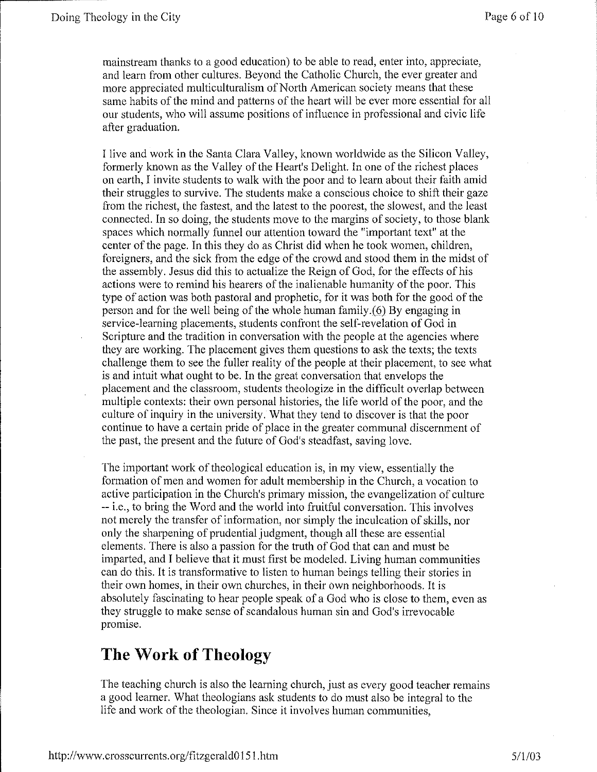mainstream thanks to a good education) to be able to read, enter into, appreciate, and learn from other cultures. Beyond the Catholic Church, the ever greater and more appreciated multiculturalism of North American society means that these same habits of the mind and patterns of the heart will be ever more essential for all our students, who will assume positions of influence in professional and civic life after graduation.

I live and work in the Santa Clara Valley, known worldwide as the Silicon Valley, formerly known as the Valley of the Heart's Delight. In one of the richest places on earth, I invite students to walk with the poor and to learn about their faith amid their struggles to survive. The students make a conscious choice to shift their gaze from the richest, the fastest, and the latest to the poorest, the slowest, and the least connected. In so doing, the students move to the margins of society, to those blank spaces which normally funnel our attention toward the "important text" at the center of the page. In this they do as Christ did when he took women, children, foreigners, and the sick from the edge of the crowd and stood them in the midst of the assembly. Jesus did this to actualize the Reign of God, for the effects of his actions were to remind his hearers of the inalienable humanity of the poor. This type of action was both pastoral and prophetic, for it was both for the good of the person and for the well being of the whole human family.(6) By engaging in service-learning placements, students confront the self-revelation of God in Scripture and the tradition in conversation with the people at the agencies where they are working. The placement gives them questions to ask the texts; the texts challenge them to see the fuller reality of the people at their placement, to see what is and intuit what ought to be. In the great conversation that envelops the placement and the classroom, students theologize in the difficult overlap between multiple contexts: their own personal histories, the life world of the poor, and the culture of inquiry in the university. What they tend to discover is that the poor continue to have a certain pride of place in the greater communal discernment of the past, the present and the future of God's steadfast, saving love.

The important work of theological education is, in my view, essentially the formation of men and women for adult membership in the Church, a vocation to active participation in the Church's primary mission, the evangelization of culture --i.e., to bring the Word and the world into fruitful conversation. This involves not merely the transfer of information, nor simply the inculcation of skills, nor only the sharpening of prudential judgment, though all these are essential elements. There is also a passion for the truth of God that can and must be imparted, and I believe that it must first be modeled. Living human communities can do this. It is transformative to listen to human beings telling their stories in their own homes, in their own churches, in their own neighborhoods. It is absolutely fascinating to hear people speak of a God who is close to them, even as they struggle to make sense of scandalous human sin and God's irrevocable promise.

## **The Work of Theology**

The teaching church is also the learning church, just as every good teacher remains a good learner. What theologians ask students to do must also be integral to the life and work of the theologian. Since it involves human communities,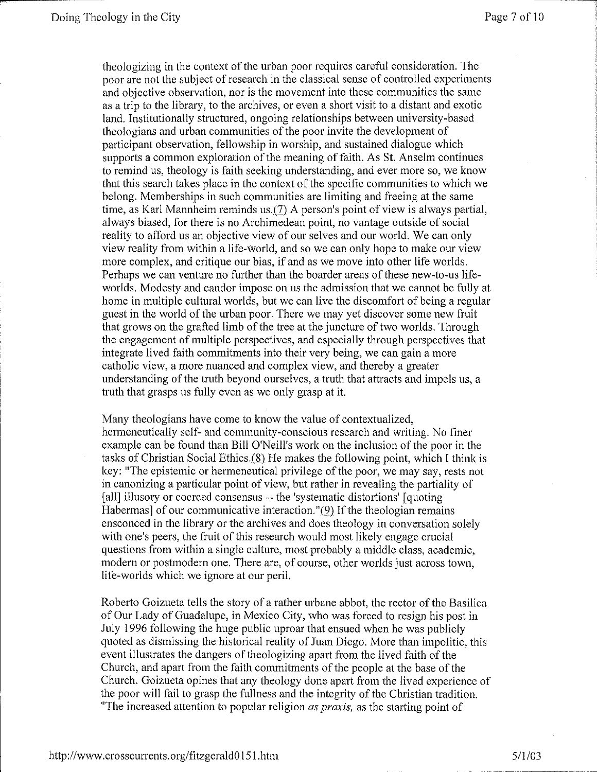theologizing in the context of the nrban poor requires careful consideration. The poor are not the subject of research in the classical sense of controlled experiments and objective observation, nor is the movement into these communities the same as a trip to the library, to the archives, or even a short visit to a distant and exotic land. Institutionally structured, ongoing relationships between university-based theologians and urban communities of the poor invite the development of participant observation, fellowship in worship, and sustained dialogue which supports a common exploration of the meaning of faith. As St. Anselm continues to remind us, theology is faith seeking understanding, and ever more so, we know that this search takes place in the context of the specific communities to which we belong. Memberships in such communities are limiting and freeing at the same time, as Karl Mannheim reminds us.{7) A person's point of view is always partial, always biased, for there is no Archimedean point, no vantage outside of social reality to afford us an objective view of our selves and onr world. We can only view reality from within a life-world, and so we can only hope to make our view more complex, and critique our bias, if and as we move into other life worlds. Perhaps we can venture no further than the boarder areas of these new-to-us lifeworlds. Modesty and candor impose on us the admission that we cannot be fully at home in multiple cultural worlds, but we can live the discomfort of being a regular guest in the world of the nrban poor. There we may yet discover some new fruit that grows on the grafted limb of the tree at the juncture of two worlds. Through the engagement of multiple perspectives, and especially through perspectives that integrate lived faith commitments into their very being, we can gain a more catholic view, a more nuanced and complex view, and thereby a greater understanding of the truth beyond onrselves, a truth that attracts and impels us, a truth that grasps us fully even as we only grasp at it.

Many theologians have come to know the value of contextualized, hermeneutically self- and community-conscious research and writing. No finer example can be found than Bill O'Neill's work on the inclusion of the poor in the tasks of Christian Social Ethics. $(8)$  He makes the following point, which I think is key: "The epistemic or hermeneutical privilege of the poor, we may say, rests not in canonizing a particular point of view, but rather in revealing the partiality of [all] illusory or coerced consensus -- the 'systematic distortions' [quoting] Habermas] of our communicative interaction. "(9) If the theologian remains ensconced in the library or the archives and does theology in conversation solely with one's peers, the fruit of this research would most likely engage crucial questions from within a single cultnre, most probably a middle class, academic, modern or postmodern one. There are, of course, other worlds just across town, life-worlds which we ignore at our peril.

Roberto Goizueta tells the story of a rather urbane abbot, the rector of the Basilica of Our Lady of Guadalupe, in Mexico City, who was forced to resign his post in July 1996 following the huge public uproar that ensued when he was publicly quoted as dismissing the historical reality of Juan Diego. More than impolitic, this event illustrates the dangers of theologizing apart from the lived faith of the Chnrch, and apart from the faith commitments of the people at the base of the Church. Goizueta opines that any theology done apart from the lived experience of the poor will fail to grasp the fullness and the integrity of the Christian tradition. "The increased attention to popular religion *as praxis,* as the starting point of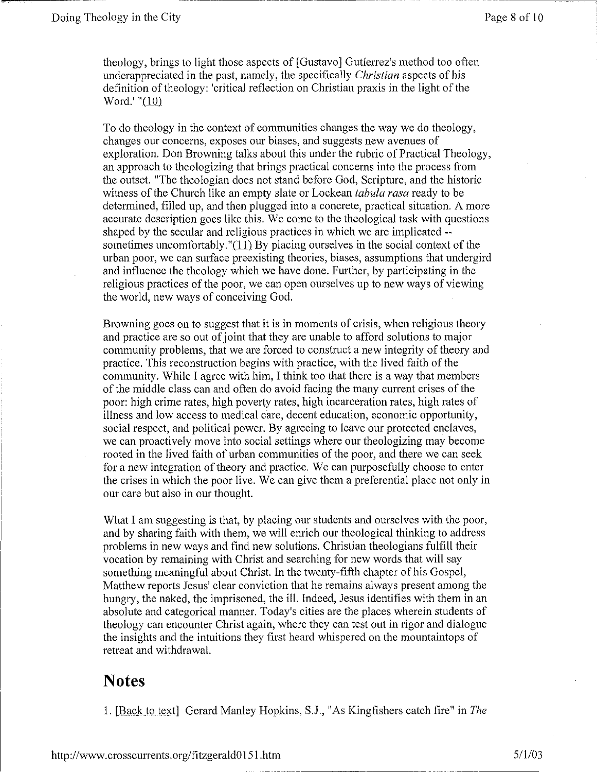theology, brings to light those aspects of [Gustavo] Gutierrez's method too often underappreciated in the past, namely, the specifically *Christian* aspects of his definition of theology: 'critical reflection on Christian praxis in the light of the Word.' " $(10)$ 

To do theology in the context of communities changes the way we do theology, changes our concerns, exposes our biases, and suggests new avenues of exploration. Don Browning talks about this under the rubric of Practical Theology, an approach to theologizing that brings practical concerns into the process from the outset. "The theologian does not stand before God, Scripture, and the historic witness of the Church like an empty slate or Lockean *tabula rasa* ready to be determined, filled up, and then plugged into a concrete, practical situation. A more accurate description goes like this. We come to the theological task with questions shaped by the secular and religious practices in which we are implicated - sometimes uncomfortably." $(11)$ . By placing ourselves in the social context of the urban poor, we can surface preexisting theories, biases, assumptions that undergird and influence the theology which we have done. Further, by participating in the religious practices of the poor, we can open ourselves up to new ways of viewing the world, new ways of conceiving God.

Browning goes on to suggest that it is in moments of crisis, when religious theory and practice are so out of joint that they are unable to afford solutions to major community problems, that we are forced to construct a new integrity of theory and practice. This reconstruction begins with practice, with the lived faith of the community. While I agree with him, I think too that there is a way that members of the middle class can and often do avoid facing the many current crises of the poor: high crime rates, high poverty rates, high incarceration rates, high rates of illness and low access to medical care, decent education, economic opportunity, social respect, and political power. By agreeing to leave our protected enclaves, we can proactively move into social settings where our theologizing may become rooted in the lived faith of urban communities of the poor, and there we can seek for a new integration of theory and practice. We can purposefully choose to enter the crises in which the poor live. We can give them a preferential place not only in our care but also in our thought.

What I am suggesting is that, by placing our students and ourselves with the poor, and by sharing faith with them, we will enrich our theological thinking to address problems in new ways and find new solutions. Christian theologians fulfill their vocation by remaining with Christ and searching for new words that will say something meaningful about Christ. In the twenty-fifth chapter of his Gospel, Matthew reports Jesus' clear conviction that he remains always present among the hungry, the naked, the imprisoned, the ill. Indeed, Jesus identifies with them in an absolute and categorical manner. Today's cities are the places wherein students of theology can encounter Christ again, where they can test out in rigor and dialogue the insights and the intuitions they first heard whispered on the mountaintops of retreat and withdrawal.

## **Notes**

1. [Back to text] Gerard Manley Hopkins, S.J., "As Kingfishers catch fire" in *The*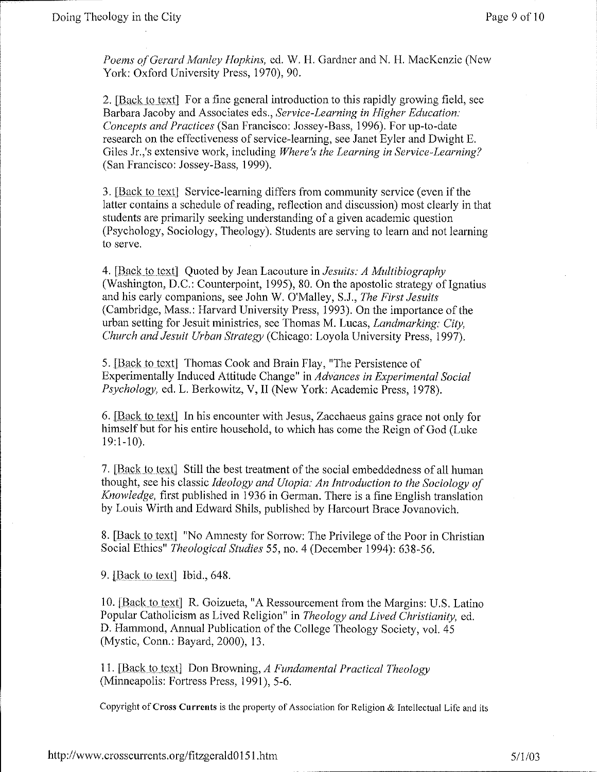*Poems of Gerard Manley Hopkins,* ed. W. H. Gardner and N. H. MacKenzie (New York: Oxford University Press, 1970), 90.

2. [Back to text] For a fine general introduction to this rapidly growing field, see Barbara Jacoby and Associates eds., *Service-Learning in Higher Education: Concepts and Practices* (San Francisco: Jossey-Bass, 1996). For up-to-date research on the effectiveness of service-learning, see Janet Eyler and Dwight E. Giles Jr.,'s extensive work, including *Where's the Learning in Service-Learning?* (San Francisco: Jossey-Bass, 1999).

3. [Back to text] Service-learning differs from community service (even if the latter contains a schedule of reading, reflection and discussion) most clearly in that students are primarily seeking understanding of a given academic question (Psychology, Sociology, Theology). Students are serving to learn and not learning to serve.

4. [Back to text] Quoted by Jean Lacouture in *Jesuits: A Multibiography* (Washington, D.C.: Counterpoint, 1995), 80. On the apostolic strategy of Ignatius and his early companions, see John W. O'Malley, S.J., *The First Jesuits*  (Cambridge, Mass.: Harvard University Press, 1993). On the importance of the urban setting for Jesuit ministries, see Thomas M. Lucas, *Landmarking: City, Church and Jesuit Urban Strategy* (Chicago: Loyola University Press, 1997).

5. [Back to text] Thomas Cook and Brain Flay, "The Persistence of Experimentally Induced Attitude Change" in *Advances in Experimental Social Psychology,* ed. L. Berkowitz, V, II (New York: Academic Press, 1978).

6. [Back to text] In his encounter with Jesus, Zacchaeus gains grace not only for himself but for his entire household, to which has come the Reign of God (Luke 19:1-10).

7. [Back to text] Still the best treatment of the social embeddedness of all human thought, see his classic *Ideology and Utopia: An Introduction to the Sociology of Knowledge,* first published in 1936 in German. There is a fine English translation by Louis Wirth and Edward Shils, published by Harcourt Brace Jovanovich.

8. [Back to text] "No Amnesty for Sorrow: The Privilege of the Poor in Christian Social Ethics" *Theological Studies* 55, no. 4 (December 1994): 638-56.

9. [Back to text] Ibid., 648.

10. [Back to text] R. Goizueta, "A Ressourcement from the Margins: U.S. Latino Popular Catholicism as Lived Religion" in *Theology and Lived Christianity,* ed. D. Hammond, Annual Publication of the College Theology Society, vol. 45 (Mystic, Conn.: Bayard, 2000), 13.

11. [Back to text] Don Browning, *A Fundamental Practical Theology* (Minneapolis: Fortress Press, 1991), 5-6.

Copyright of Cross Currents is the property of Association for Religion & Intellectual Life and its